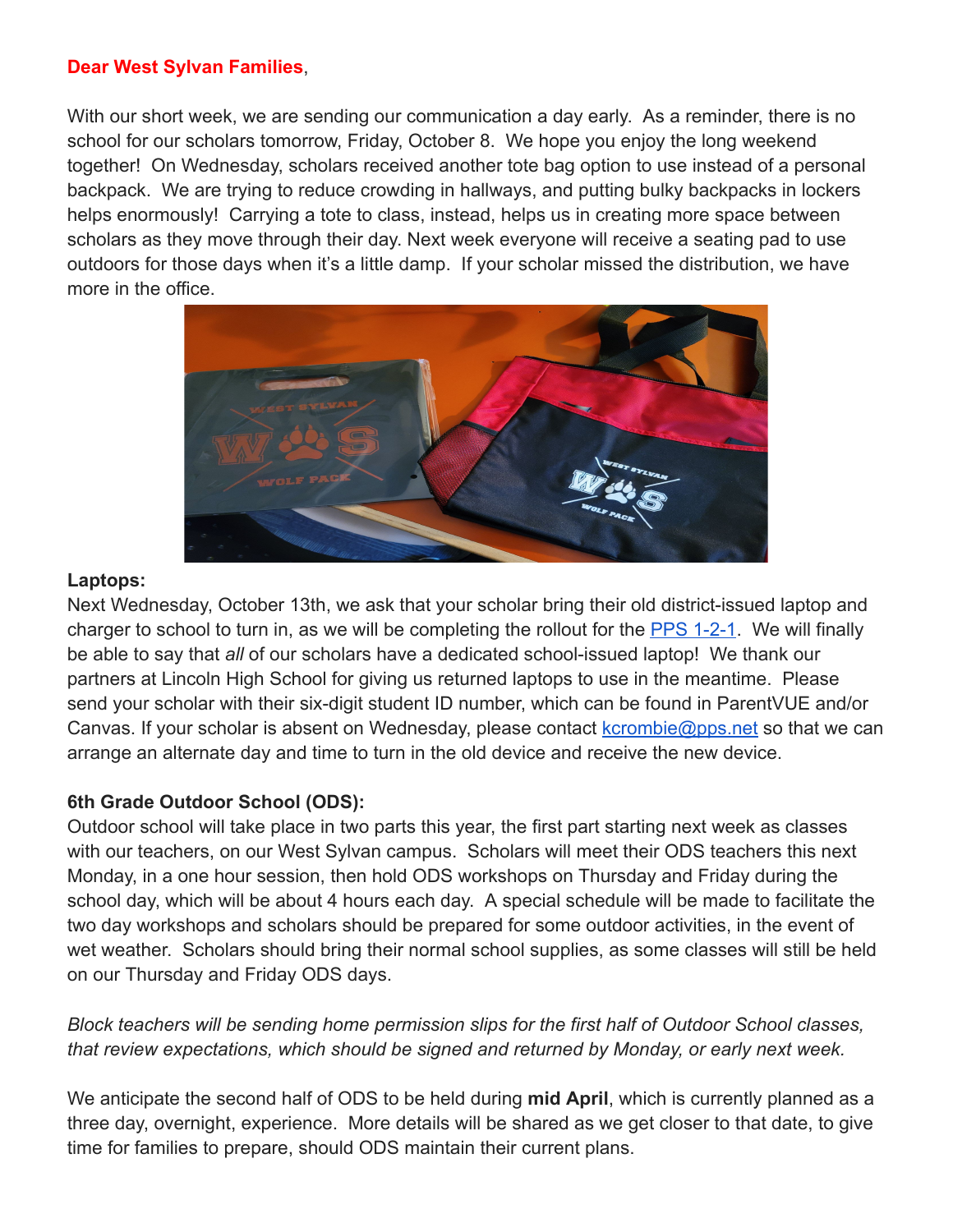### **Dear West Sylvan Families**,

With our short week, we are sending our communication a day early. As a reminder, there is no school for our scholars tomorrow, Friday, October 8. We hope you enjoy the long weekend together! On Wednesday, scholars received another tote bag option to use instead of a personal backpack. We are trying to reduce crowding in hallways, and putting bulky backpacks in lockers helps enormously! Carrying a tote to class, instead, helps us in creating more space between scholars as they move through their day. Next week everyone will receive a seating pad to use outdoors for those days when it's a little damp. If your scholar missed the distribution, we have more in the office.



### **Laptops:**

Next Wednesday, October 13th, we ask that your scholar bring their old district-issued laptop and charger to school to turn in, as we will be completing the rollout for the [PPS 1-2-1](https://www.pps.net/Page/17529). We will finally be able to say that *all* of our scholars have a dedicated school-issued laptop! We thank our partners at Lincoln High School for giving us returned laptops to use in the meantime. Please send your scholar with their six-digit student ID number, which can be found in ParentVUE and/or Canvas. If your scholar is absent on Wednesday, please contact [kcrombie@pps.net](mailto:kcrombie@pps.net) so that we can arrange an alternate day and time to turn in the old device and receive the new device.

# **6th Grade Outdoor School (ODS):**

Outdoor school will take place in two parts this year, the first part starting next week as classes with our teachers, on our West Sylvan campus. Scholars will meet their ODS teachers this next Monday, in a one hour session, then hold ODS workshops on Thursday and Friday during the school day, which will be about 4 hours each day. A special schedule will be made to facilitate the two day workshops and scholars should be prepared for some outdoor activities, in the event of wet weather. Scholars should bring their normal school supplies, as some classes will still be held on our Thursday and Friday ODS days.

# *Block teachers will be sending home permission slips for the first half of Outdoor School classes, that review expectations, which should be signed and returned by Monday, or early next week.*

We anticipate the second half of ODS to be held during **mid April**, which is currently planned as a three day, overnight, experience. More details will be shared as we get closer to that date, to give time for families to prepare, should ODS maintain their current plans.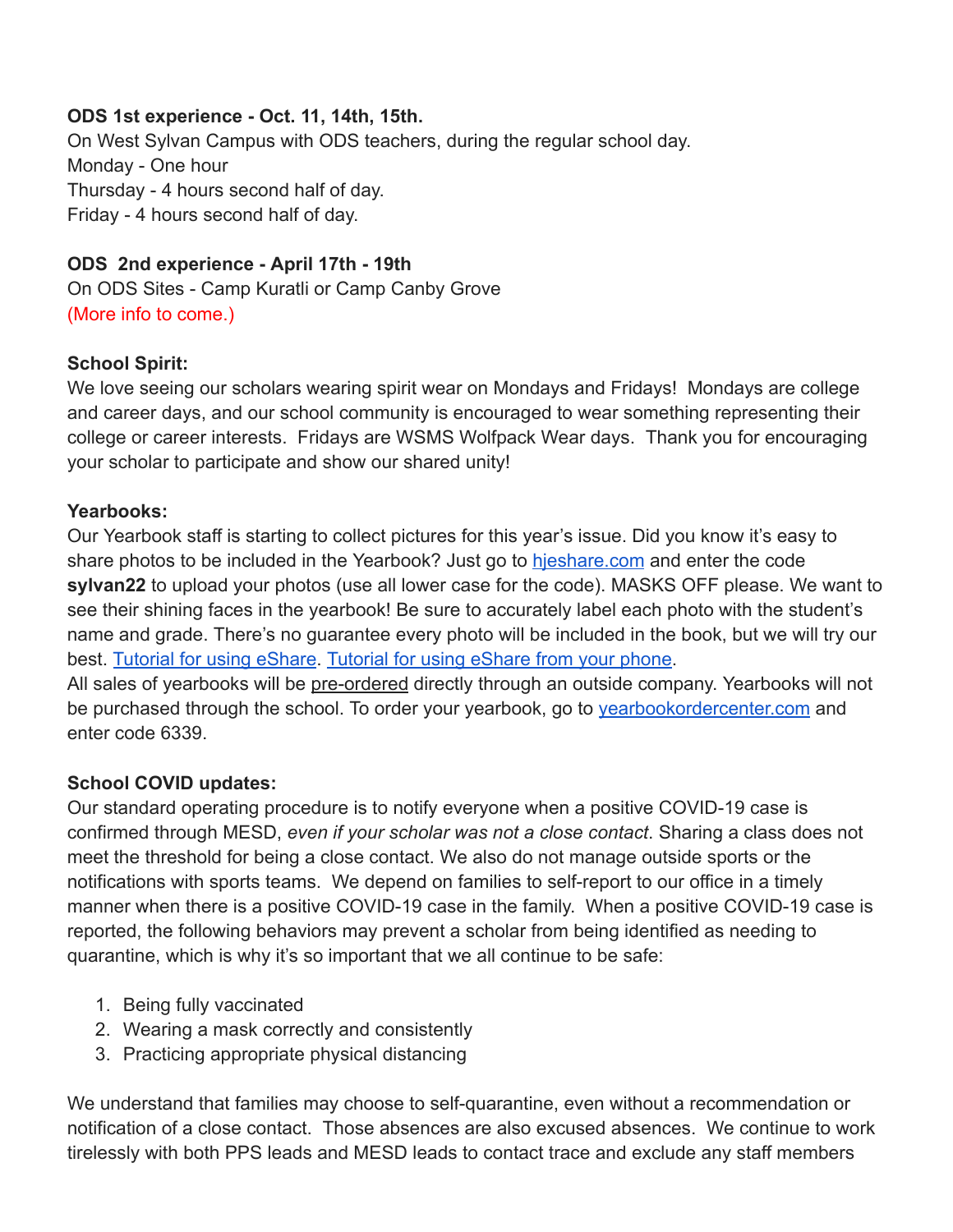### **ODS 1st experience - Oct. 11, 14th, 15th.**

On West Sylvan Campus with ODS teachers, during the regular school day. Monday - One hour Thursday - 4 hours second half of day. Friday - 4 hours second half of day.

### **ODS 2nd experience - April 17th - 19th**

On ODS Sites - Camp Kuratli or Camp Canby Grove (More info to come.)

### **School Spirit:**

We love seeing our scholars wearing spirit wear on Mondays and Fridays! Mondays are college and career days, and our school community is encouraged to wear something representing their college or career interests. Fridays are WSMS Wolfpack Wear days. Thank you for encouraging your scholar to participate and show our shared unity!

### **Yearbooks:**

Our Yearbook staff is starting to collect pictures for this year's issue. Did you know it's easy to share photos to be included in the Yearbook? Just go to [hjeshare.com](https://hjeshare.com/eShare/) and enter the code **sylvan22** to upload your photos (use all lower case for the code). MASKS OFF please. We want to see their shining faces in the yearbook! Be sure to accurately label each photo with the student's name and grade. There's no guarantee every photo will be included in the book, but we will try our best. [Tutorial for using eShare](https://herffjones.wistia.com/medias/h1e7m2ythz). [Tutorial for using eShare from your phone.](https://herffjones.wistia.com/medias/62ap3qbbp3)

All sales of yearbooks will be pre-ordered directly through an outside company. Yearbooks will not be purchased through the school. To order your yearbook, go to vearbookordercenter.com and enter code 6339.

# **School COVID updates:**

Our standard operating procedure is to notify everyone when a positive COVID-19 case is confirmed through MESD, *even if your scholar was not a close contact*. Sharing a class does not meet the threshold for being a close contact. We also do not manage outside sports or the notifications with sports teams. We depend on families to self-report to our office in a timely manner when there is a positive COVID-19 case in the family. When a positive COVID-19 case is reported, the following behaviors may prevent a scholar from being identified as needing to quarantine, which is why it's so important that we all continue to be safe:

- 1. Being fully vaccinated
- 2. Wearing a mask correctly and consistently
- 3. Practicing appropriate physical distancing

We understand that families may choose to self-quarantine, even without a recommendation or notification of a close contact. Those absences are also excused absences. We continue to work tirelessly with both PPS leads and MESD leads to contact trace and exclude any staff members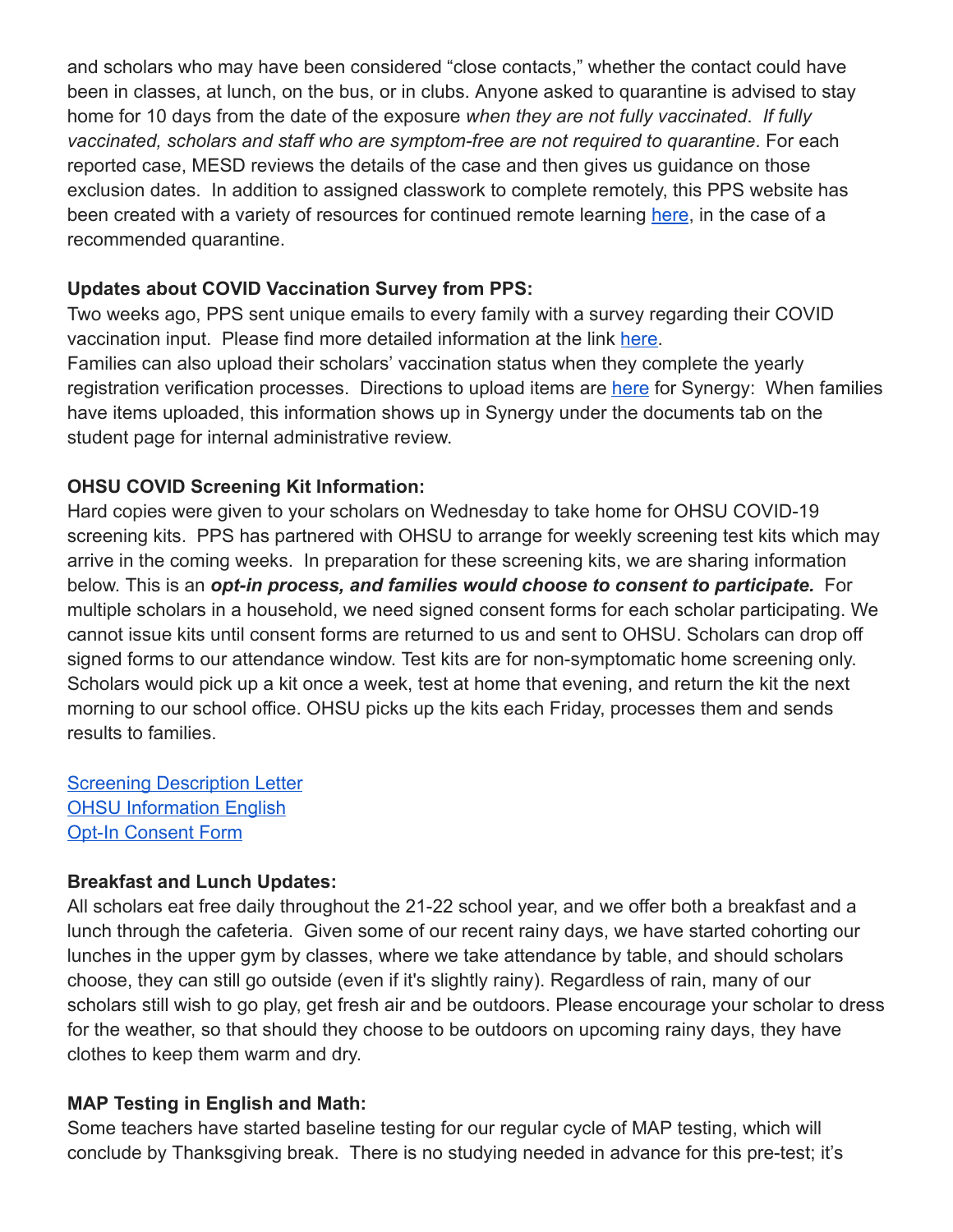and scholars who may have been considered "close contacts," whether the contact could have been in classes, at lunch, on the bus, or in clubs. Anyone asked to quarantine is advised to stay home for 10 days from the date of the exposure *when they are not fully vaccinated*. *If fully vaccinated, scholars and staff who are symptom-free are not required to quarantine*. For each reported case, MESD reviews the details of the case and then gives us guidance on those exclusion dates. In addition to assigned classwork to complete remotely, this PPS website has been created with a variety of resources for continued remote learning [here](https://sites.google.com/pps.net/ppsquarantinelessons/home?authuser=0), in the case of a recommended quarantine.

### **Updates about COVID Vaccination Survey from PPS:**

Two weeks ago, PPS sent unique emails to every family with a survey regarding their COVID vaccination input. Please find more detailed information at the link [here.](https://www.pps.net/site/default.aspx?PageType=3&DomainID=4&ModuleInstanceID=1492&PageModuleInstanceID=1594&ViewID=ad4d6d9d-7046-48e7-a548-a6a23a68d076&RenderLoc=0&FlexDataID=168025&PageID=1&IsMoreExpandedView=True) Families can also upload their scholars' vaccination status when they complete the yearly registration verification processes. Directions to upload items are [here](https://docs.google.com/document/d/1AxHhVVEjAqJxV1Vuh9PnfwkZHcp-Tde_x6iFOOEy58Y/edit) for Synergy: When families have items uploaded, this information shows up in Synergy under the documents tab on the student page for internal administrative review.

### **OHSU COVID Screening Kit Information:**

Hard copies were given to your scholars on Wednesday to take home for OHSU COVID-19 screening kits. PPS has partnered with OHSU to arrange for weekly screening test kits which may arrive in the coming weeks. In preparation for these screening kits, we are sharing information below. This is an *opt-in process, and families would choose to consent to participate.* For multiple scholars in a household, we need signed consent forms for each scholar participating. We cannot issue kits until consent forms are returned to us and sent to OHSU. Scholars can drop off signed forms to our attendance window. Test kits are for non-symptomatic home screening only. Scholars would pick up a kit once a week, test at home that evening, and return the kit the next morning to our school office. OHSU picks up the kits each Friday, processes them and sends results to families.

[Screening Description Letter](https://drive.google.com/file/d/12Z90ONF4FucYQEY1m9-dirsQF39L4si-/view?usp=sharing) [OHSU Information English](https://drive.google.com/file/d/1c68pUs3D8wSuSpbB4BtpkbXNDaAs5TOt/view?usp=sharing) [Opt-In Consent Form](https://drive.google.com/file/d/1902lCx2TvPW096XGUWFdoythR5_pAgBg/view?usp=sharing)

### **Breakfast and Lunch Updates:**

All scholars eat free daily throughout the 21-22 school year, and we offer both a breakfast and a lunch through the cafeteria. Given some of our recent rainy days, we have started cohorting our lunches in the upper gym by classes, where we take attendance by table, and should scholars choose, they can still go outside (even if it's slightly rainy). Regardless of rain, many of our scholars still wish to go play, get fresh air and be outdoors. Please encourage your scholar to dress for the weather, so that should they choose to be outdoors on upcoming rainy days, they have clothes to keep them warm and dry.

### **MAP Testing in English and Math:**

Some teachers have started baseline testing for our regular cycle of MAP testing, which will conclude by Thanksgiving break. There is no studying needed in advance for this pre-test; it's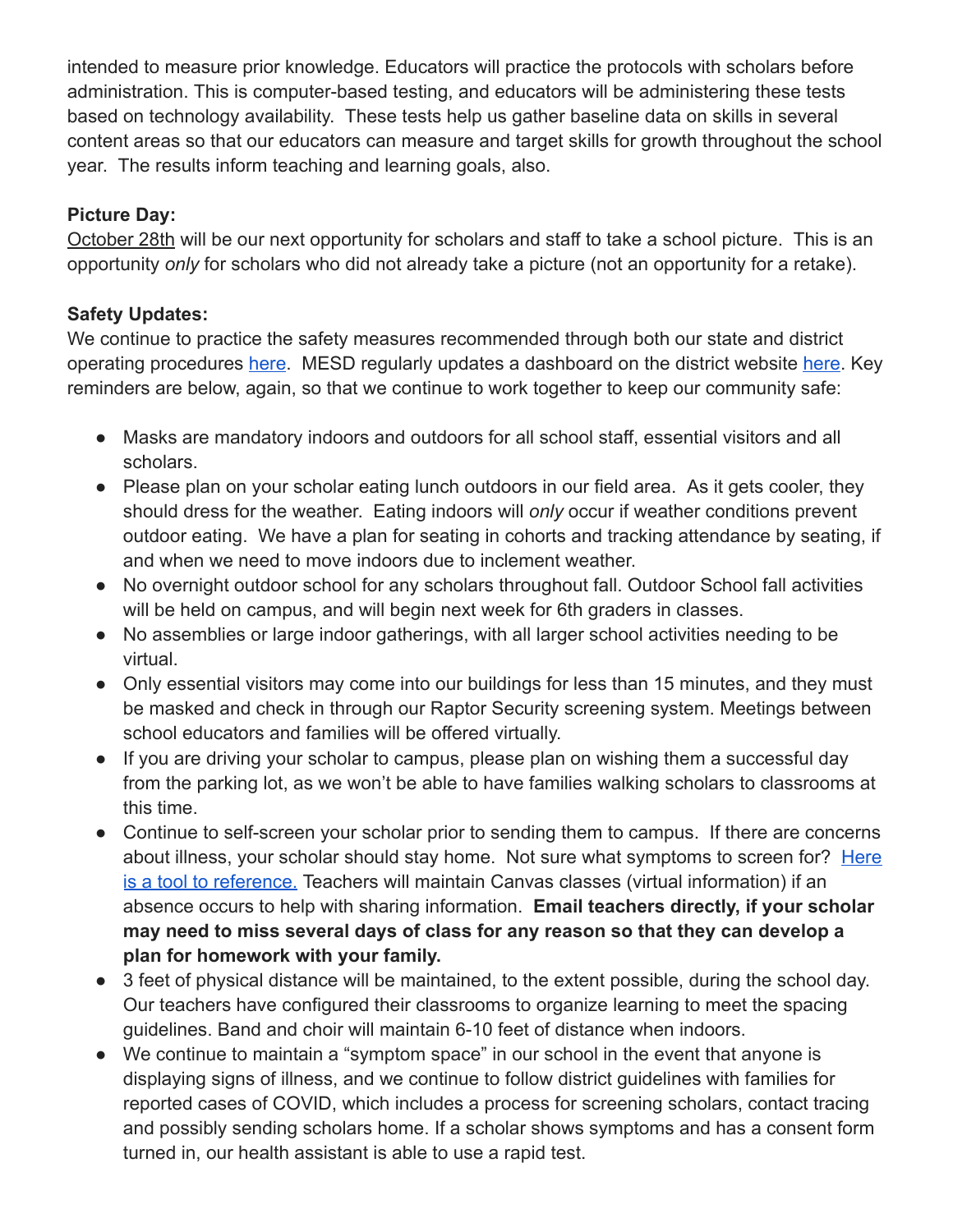intended to measure prior knowledge. Educators will practice the protocols with scholars before administration. This is computer-based testing, and educators will be administering these tests based on technology availability. These tests help us gather baseline data on skills in several content areas so that our educators can measure and target skills for growth throughout the school year. The results inform teaching and learning goals, also.

# **Picture Day:**

October 28th will be our next opportunity for scholars and staff to take a school picture. This is an opportunity *only* for scholars who did not already take a picture (not an opportunity for a retake).

# **Safety Updates:**

We continue to practice the safety measures recommended through both our state and district operating procedures [here.](https://www.mkt-box.com/pps/backtoschool2021) MESD regularly updates a dashboard on the district website [here](https://www.pps.net/Page/17493). Key reminders are below, again, so that we continue to work together to keep our community safe:

- Masks are mandatory indoors and outdoors for all school staff, essential visitors and all scholars.
- Please plan on your scholar eating lunch outdoors in our field area. As it gets cooler, they should dress for the weather. Eating indoors will *only* occur if weather conditions prevent outdoor eating. We have a plan for seating in cohorts and tracking attendance by seating, if and when we need to move indoors due to inclement weather.
- No overnight outdoor school for any scholars throughout fall. Outdoor School fall activities will be held on campus, and will begin next week for 6th graders in classes.
- No assemblies or large indoor gatherings, with all larger school activities needing to be virtual.
- Only essential visitors may come into our buildings for less than 15 minutes, and they must be masked and check in through our Raptor Security screening system. Meetings between school educators and families will be offered virtually.
- If you are driving your scholar to campus, please plan on wishing them a successful day from the parking lot, as we won't be able to have families walking scholars to classrooms at this time.
- Continue to self-screen your scholar prior to sending them to campus. If there are concerns about illness, your scholar should stay home. Not sure what symptoms to screen for? [Here](https://drive.google.com/file/d/11JUUD1JteACFnaq61wBrtLFaTwgfvWVX/view?usp=sharing) [is a tool to reference.](https://drive.google.com/file/d/11JUUD1JteACFnaq61wBrtLFaTwgfvWVX/view?usp=sharing) Teachers will maintain Canvas classes (virtual information) if an absence occurs to help with sharing information. **Email teachers directly, if your scholar may need to miss several days of class for any reason so that they can develop a plan for homework with your family.**
- 3 feet of physical distance will be maintained, to the extent possible, during the school day. Our teachers have configured their classrooms to organize learning to meet the spacing guidelines. Band and choir will maintain 6-10 feet of distance when indoors.
- We continue to maintain a "symptom space" in our school in the event that anyone is displaying signs of illness, and we continue to follow district guidelines with families for reported cases of COVID, which includes a process for screening scholars, contact tracing and possibly sending scholars home. If a scholar shows symptoms and has a consent form turned in, our health assistant is able to use a rapid test.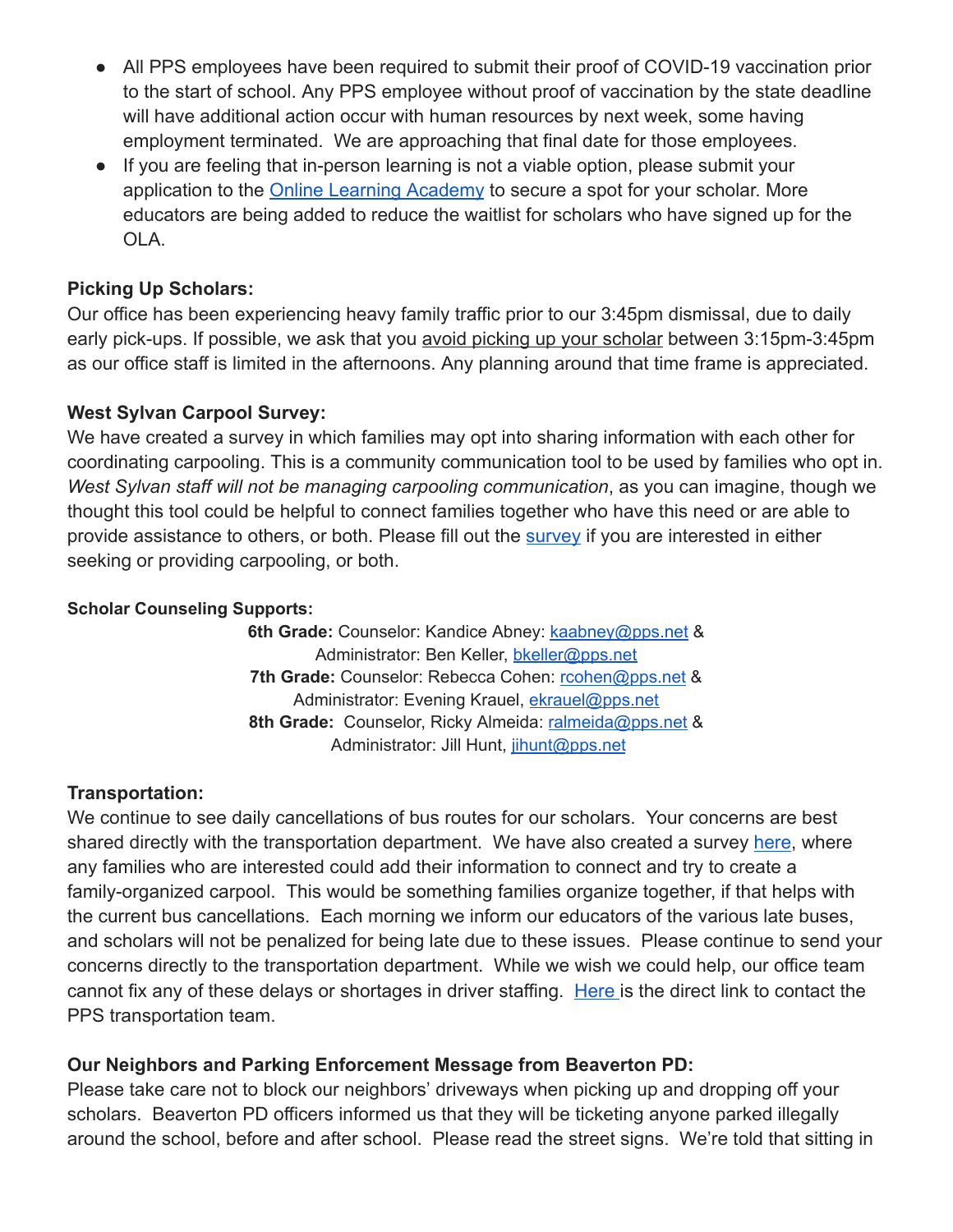- All PPS employees have been required to submit their proof of COVID-19 vaccination prior to the start of school. Any PPS employee without proof of vaccination by the state deadline will have additional action occur with human resources by next week, some having employment terminated. We are approaching that final date for those employees.
- If you are feeling that in-person learning is not a viable option, please submit your application to the [Online Learning Academy](https://vs.pps.net/ola) to secure a spot for your scholar. More educators are being added to reduce the waitlist for scholars who have signed up for the OLA.

### **Picking Up Scholars:**

Our office has been experiencing heavy family traffic prior to our 3:45pm dismissal, due to daily early pick-ups. If possible, we ask that you avoid picking up your scholar between 3:15pm-3:45pm as our office staff is limited in the afternoons. Any planning around that time frame is appreciated.

### **West Sylvan Carpool Survey:**

We have created a survey in which families may opt into sharing information with each other for coordinating carpooling. This is a community communication tool to be used by families who opt in. *West Sylvan staff will not be managing carpooling communication*, as you can imagine, though we thought this tool could be helpful to connect families together who have this need or are able to provide assistance to others, or both. Please fill out the [survey](https://forms.gle/kBphkhYJcXz347qv7) if you are interested in either seeking or providing carpooling, or both.

#### **Scholar Counseling Supports:**

**6th Grade:** Counselor: Kandice Abney: [kaabney@pps.net](mailto:kaabney@pps.net) & Administrator: Ben Keller, [bkeller@pps.net](mailto:bkeller@pps.net) **7th Grade:** Counselor: Rebecca Cohen: [rcohen@pps.net](mailto:rcohen@pps.net) & Administrator: Evening Krauel, [ekrauel@pps.net](mailto:ekrauel@pps.net) **8th Grade:** Counselor, Ricky Almeida: [ralmeida@pps.net](mailto:ralmeida@pps.net) & Administrator: Jill Hunt, [jihunt@pps.net](mailto:jihunt@pps.net)

### **Transportation:**

We continue to see daily cancellations of bus routes for our scholars. Your concerns are best shared directly with the transportation department. We have also created a survey [here](https://forms.gle/kBphkhYJcXz347qv7), where any families who are interested could add their information to connect and try to create a family-organized carpool. This would be something families organize together, if that helps with the current bus cancellations. Each morning we inform our educators of the various late buses, and scholars will not be penalized for being late due to these issues. Please continue to send your concerns directly to the transportation department. While we wish we could help, our office team cannot fix any of these delays or shortages in driver staffing. [Here](https://www.pps.net/Page/115) is the direct link to contact the PPS transportation team.

### **Our Neighbors and Parking Enforcement Message from Beaverton PD:**

Please take care not to block our neighbors' driveways when picking up and dropping off your scholars. Beaverton PD officers informed us that they will be ticketing anyone parked illegally around the school, before and after school. Please read the street signs. We're told that sitting in